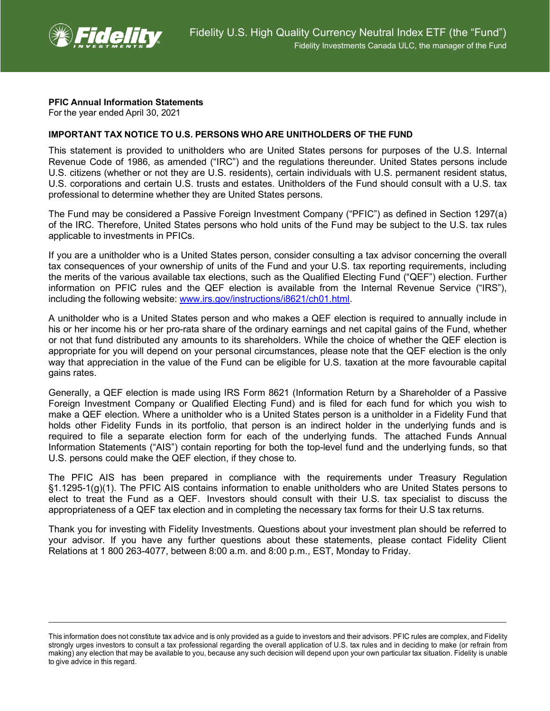

## **PFIC Annual Information Statements**

For the year ended April 30, 2021

## **IMPORTANT TAX NOTICE TO U.S. PERSONS WHO ARE UNITHOLDERS OF THE FUND**

This statement is provided to unitholders who are United States persons for purposes of the U.S. Internal Revenue Code of 1986, as amended ("IRC") and the regulations thereunder. United States persons include U.S. citizens (whether or not they are U.S. residents), certain individuals with U.S. permanent resident status, U.S. corporations and certain U.S. trusts and estates. Unitholders of the Fund should consult with a U.S. tax professional to determine whether they are United States persons.

The Fund may be considered a Passive Foreign Investment Company ("PFIC") as defined in Section 1297(a) of the IRC. Therefore, United States persons who hold units of the Fund may be subject to the U.S. tax rules applicable to investments in PFICs.

If you are a unitholder who is a United States person, consider consulting a tax advisor concerning the overall tax consequences of your ownership of units of the Fund and your U.S. tax reporting requirements, including the merits of the various available tax elections, such as the Qualified Electing Fund ("QEF") election. Further information on PFIC rules and the QEF election is available from the Internal Revenue Service ("IRS"), including the following website: [www.irs.gov/instructions/i8621/ch01.html.](http://www.irs.gov/instructions/i8621/ch01.html)

A unitholder who is a United States person and who makes a QEF election is required to annually include in his or her income his or her pro-rata share of the ordinary earnings and net capital gains of the Fund, whether or not that fund distributed any amounts to its shareholders. While the choice of whether the QEF election is appropriate for you will depend on your personal circumstances, please note that the QEF election is the only way that appreciation in the value of the Fund can be eligible for U.S. taxation at the more favourable capital gains rates.

Generally, a QEF election is made using IRS Form 8621 (Information Return by a Shareholder of a Passive Foreign Investment Company or Qualified Electing Fund) and is filed for each fund for which you wish to make a QEF election. Where a unitholder who is a United States person is a unitholder in a Fidelity Fund that holds other Fidelity Funds in its portfolio, that person is an indirect holder in the underlying funds and is required to file a separate election form for each of the underlying funds. The attached Funds Annual Information Statements ("AIS") contain reporting for both the top-level fund and the underlying funds, so that U.S. persons could make the QEF election, if they chose to.

The PFIC AIS has been prepared in compliance with the requirements under Treasury Regulation §1.1295-1(g)(1). The PFIC AIS contains information to enable unitholders who are United States persons to elect to treat the Fund as a QEF. Investors should consult with their U.S. tax specialist to discuss the appropriateness of a QEF tax election and in completing the necessary tax forms for their U.S tax returns.

Thank you for investing with Fidelity Investments. Questions about your investment plan should be referred to your advisor. If you have any further questions about these statements, please contact Fidelity Client Relations at 1 800 263-4077, between 8:00 a.m. and 8:00 p.m., EST, Monday to Friday.

This information does not constitute tax advice and is only provided as a guide to investors and their advisors. PFIC rules are complex, and Fidelity strongly urges investors to consult a tax professional regarding the overall application of U.S. tax rules and in deciding to make (or refrain from making) any election that may be available to you, because any such decision will depend upon your own particular tax situation. Fidelity is unable to give advice in this regard.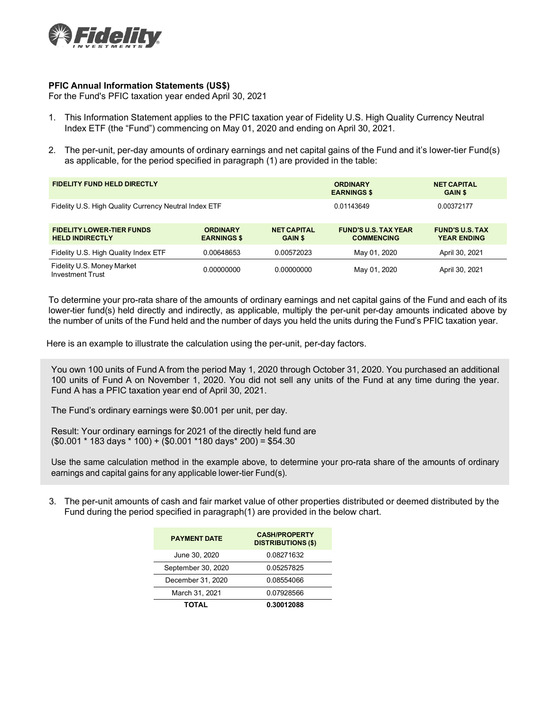

## **PFIC Annual Information Statements (US\$)**

For the Fund's PFIC taxation year ended April 30, 2021

- 1. This Information Statement applies to the PFIC taxation year of Fidelity U.S. High Quality Currency Neutral Index ETF (the "Fund") commencing on May 01, 2020 and ending on April 30, 2021.
- 2. The per-unit, per-day amounts of ordinary earnings and net capital gains of the Fund and it's lower-tier Fund(s) as applicable, for the period specified in paragraph (1) are provided in the table:

| <b>FIDELITY FUND HELD DIRECTLY</b>                         |                                       |                                      | <b>ORDINARY</b><br><b>EARNINGS \$</b>            | <b>NET CAPITAL</b><br><b>GAIN \$</b>         |
|------------------------------------------------------------|---------------------------------------|--------------------------------------|--------------------------------------------------|----------------------------------------------|
| Fidelity U.S. High Quality Currency Neutral Index ETF      |                                       |                                      | 0.01143649                                       | 0.00372177                                   |
| <b>FIDELITY LOWER-TIER FUNDS</b><br><b>HELD INDIRECTLY</b> | <b>ORDINARY</b><br><b>EARNINGS \$</b> | <b>NET CAPITAL</b><br><b>GAIN \$</b> | <b>FUND'S U.S. TAX YEAR</b><br><b>COMMENCING</b> | <b>FUND'S U.S. TAX</b><br><b>YEAR ENDING</b> |
| Fidelity U.S. High Quality Index ETF                       | 0.00648653                            | 0.00572023                           | May 01, 2020                                     | April 30, 2021                               |
| Fidelity U.S. Money Market<br><b>Investment Trust</b>      | 0.00000000                            | 0.00000000                           | May 01, 2020                                     | April 30, 2021                               |

To determine your pro-rata share of the amounts of ordinary earnings and net capital gains of the Fund and each of its lower-tier fund(s) held directly and indirectly, as applicable, multiply the per-unit per-day amounts indicated above by the number of units of the Fund held and the number of days you held the units during the Fund's PFIC taxation year.

Here is an example to illustrate the calculation using the per-unit, per-day factors.

You own 100 units of Fund A from the period May 1, 2020 through October 31, 2020. You purchased an additional 100 units of Fund A on November 1, 2020. You did not sell any units of the Fund at any time during the year. Fund A has a PFIC taxation year end of April 30, 2021.

The Fund's ordinary earnings were \$0.001 per unit, per day.

Result: Your ordinary earnings for 2021 of the directly held fund are (\$0.001 \* 183 days \* 100) + (\$0.001 \*180 days\* 200) = \$54.30

Use the same calculation method in the example above, to determine your pro-rata share of the amounts of ordinary earnings and capital gains for any applicable lower-tier Fund(s).

3. The per-unit amounts of cash and fair market value of other properties distributed or deemed distributed by the Fund during the period specified in paragraph(1) are provided in the below chart.

| <b>PAYMENT DATE</b> | <b>CASH/PROPERTY</b><br><b>DISTRIBUTIONS (\$)</b> |  |  |
|---------------------|---------------------------------------------------|--|--|
| June 30, 2020       | 0.08271632                                        |  |  |
| September 30, 2020  | 0.05257825                                        |  |  |
| December 31, 2020   | 0.08554066                                        |  |  |
| March 31, 2021      | 0.07928566                                        |  |  |
| TOTAL               | 0.30012088                                        |  |  |